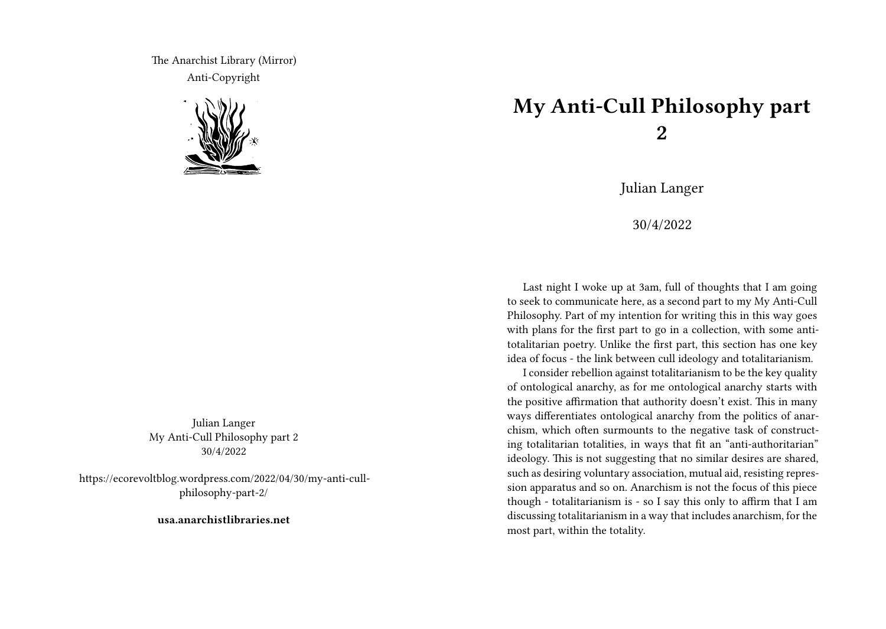The Anarchist Library (Mirror) Anti-Copyright



Julian Langer My Anti-Cull Philosophy part 2 30/4/2022

https://ecorevoltblog.wordpress.com/2022/04/30/my-anti-cullphilosophy-part-2/

**usa.anarchistlibraries.net**

## **My Anti-Cull Philosophy part 2**

Julian Langer

30/4/2022

Last night I woke up at 3am, full of thoughts that I am going to seek to communicate here, as a second part to my My Anti-Cull Philosophy. Part of my intention for writing this in this way goes with plans for the first part to go in a collection, with some antitotalitarian poetry. Unlike the first part, this section has one key idea of focus - the link between cull ideology and totalitarianism.

I consider rebellion against totalitarianism to be the key quality of ontological anarchy, as for me ontological anarchy starts with the positive affirmation that authority doesn't exist. This in many ways differentiates ontological anarchy from the politics of anarchism, which often surmounts to the negative task of constructing totalitarian totalities, in ways that fit an "anti-authoritarian" ideology. This is not suggesting that no similar desires are shared, such as desiring voluntary association, mutual aid, resisting repression apparatus and so on. Anarchism is not the focus of this piece though - totalitarianism is - so I say this only to affirm that I am discussing totalitarianism in a way that includes anarchism, for the most part, within the totality.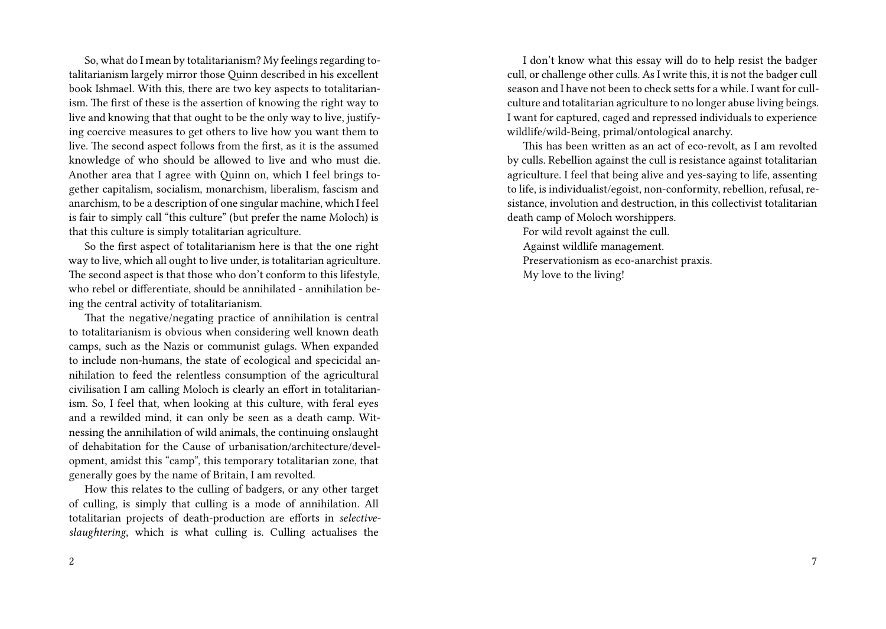So, what do I mean by totalitarianism? My feelings regarding totalitarianism largely mirror those Quinn described in his excellent book Ishmael. With this, there are two key aspects to totalitarianism. The first of these is the assertion of knowing the right way to live and knowing that that ought to be the only way to live, justifying coercive measures to get others to live how you want them to live. The second aspect follows from the first, as it is the assumed knowledge of who should be allowed to live and who must die. Another area that I agree with Quinn on, which I feel brings together capitalism, socialism, monarchism, liberalism, fascism and anarchism, to be a description of one singular machine, which I feel is fair to simply call "this culture" (but prefer the name Moloch) is that this culture is simply totalitarian agriculture.

So the first aspect of totalitarianism here is that the one right way to live, which all ought to live under, is totalitarian agriculture. The second aspect is that those who don't conform to this lifestyle, who rebel or differentiate, should be annihilated - annihilation being the central activity of totalitarianism.

That the negative/negating practice of annihilation is central to totalitarianism is obvious when considering well known death camps, such as the Nazis or communist gulags. When expanded to include non-humans, the state of ecological and specicidal annihilation to feed the relentless consumption of the agricultural civilisation I am calling Moloch is clearly an effort in totalitarianism. So, I feel that, when looking at this culture, with feral eyes and a rewilded mind, it can only be seen as a death camp. Witnessing the annihilation of wild animals, the continuing onslaught of dehabitation for the Cause of urbanisation/architecture/development, amidst this "camp", this temporary totalitarian zone, that generally goes by the name of Britain, I am revolted.

How this relates to the culling of badgers, or any other target of culling, is simply that culling is a mode of annihilation. All totalitarian projects of death-production are efforts in *selectiveslaughtering*, which is what culling is. Culling actualises the

I don't know what this essay will do to help resist the badger cull, or challenge other culls. As I write this, it is not the badger cull season and I have not been to check setts for a while. I want for cullculture and totalitarian agriculture to no longer abuse living beings. I want for captured, caged and repressed individuals to experience wildlife/wild-Being, primal/ontological anarchy.

This has been written as an act of eco-revolt, as I am revolted by culls. Rebellion against the cull is resistance against totalitarian agriculture. I feel that being alive and yes-saying to life, assenting to life, is individualist/egoist, non-conformity, rebellion, refusal, resistance, involution and destruction, in this collectivist totalitarian death camp of Moloch worshippers.

For wild revolt against the cull. Against wildlife management. Preservationism as eco-anarchist praxis. My love to the living!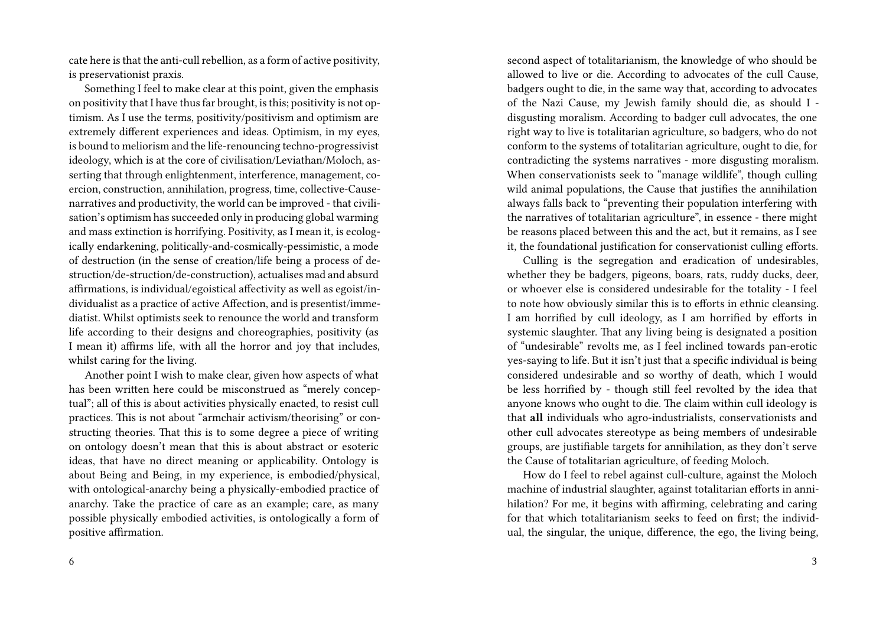cate here is that the anti-cull rebellion, as a form of active positivity, is preservationist praxis.

Something I feel to make clear at this point, given the emphasis on positivity that I have thus far brought, is this; positivity is not optimism. As I use the terms, positivity/positivism and optimism are extremely different experiences and ideas. Optimism, in my eyes, is bound to meliorism and the life-renouncing techno-progressivist ideology, which is at the core of civilisation/Leviathan/Moloch, asserting that through enlightenment, interference, management, coercion, construction, annihilation, progress, time, collective-Causenarratives and productivity, the world can be improved - that civilisation's optimism has succeeded only in producing global warming and mass extinction is horrifying. Positivity, as I mean it, is ecologically endarkening, politically-and-cosmically-pessimistic, a mode of destruction (in the sense of creation/life being a process of destruction/de-struction/de-construction), actualises mad and absurd affirmations, is individual/egoistical affectivity as well as egoist/individualist as a practice of active Affection, and is presentist/immediatist. Whilst optimists seek to renounce the world and transform life according to their designs and choreographies, positivity (as I mean it) affirms life, with all the horror and joy that includes, whilst caring for the living.

Another point I wish to make clear, given how aspects of what has been written here could be misconstrued as "merely conceptual"; all of this is about activities physically enacted, to resist cull practices. This is not about "armchair activism/theorising" or constructing theories. That this is to some degree a piece of writing on ontology doesn't mean that this is about abstract or esoteric ideas, that have no direct meaning or applicability. Ontology is about Being and Being, in my experience, is embodied/physical, with ontological-anarchy being a physically-embodied practice of anarchy. Take the practice of care as an example; care, as many possible physically embodied activities, is ontologically a form of positive affirmation.

second aspect of totalitarianism, the knowledge of who should be allowed to live or die. According to advocates of the cull Cause, badgers ought to die, in the same way that, according to advocates of the Nazi Cause, my Jewish family should die, as should I disgusting moralism. According to badger cull advocates, the one right way to live is totalitarian agriculture, so badgers, who do not conform to the systems of totalitarian agriculture, ought to die, for contradicting the systems narratives - more disgusting moralism. When conservationists seek to "manage wildlife", though culling wild animal populations, the Cause that justifies the annihilation always falls back to "preventing their population interfering with the narratives of totalitarian agriculture", in essence - there might be reasons placed between this and the act, but it remains, as I see it, the foundational justification for conservationist culling efforts.

Culling is the segregation and eradication of undesirables, whether they be badgers, pigeons, boars, rats, ruddy ducks, deer, or whoever else is considered undesirable for the totality - I feel to note how obviously similar this is to efforts in ethnic cleansing. I am horrified by cull ideology, as I am horrified by efforts in systemic slaughter. That any living being is designated a position of "undesirable" revolts me, as I feel inclined towards pan-erotic yes-saying to life. But it isn't just that a specific individual is being considered undesirable and so worthy of death, which I would be less horrified by - though still feel revolted by the idea that anyone knows who ought to die. The claim within cull ideology is that **all** individuals who agro-industrialists, conservationists and other cull advocates stereotype as being members of undesirable groups, are justifiable targets for annihilation, as they don't serve the Cause of totalitarian agriculture, of feeding Moloch.

How do I feel to rebel against cull-culture, against the Moloch machine of industrial slaughter, against totalitarian efforts in annihilation? For me, it begins with affirming, celebrating and caring for that which totalitarianism seeks to feed on first; the individual, the singular, the unique, difference, the ego, the living being,